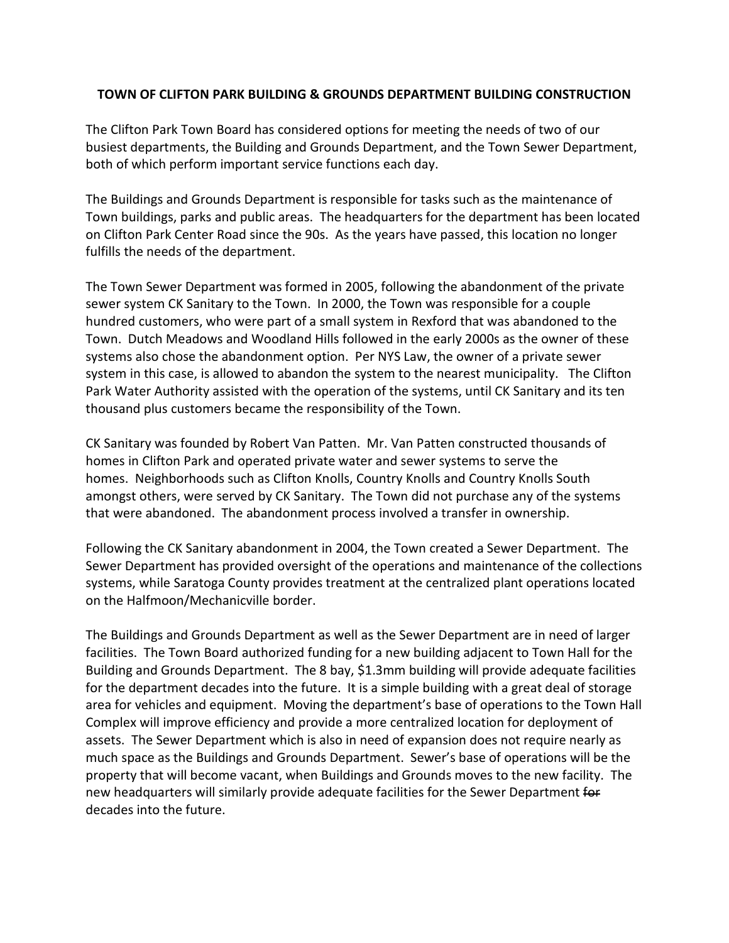## **TOWN OF CLIFTON PARK BUILDING & GROUNDS DEPARTMENT BUILDING CONSTRUCTION**

The Clifton Park Town Board has considered options for meeting the needs of two of our busiest departments, the Building and Grounds Department, and the Town Sewer Department, both of which perform important service functions each day.

The Buildings and Grounds Department is responsible for tasks such as the maintenance of Town buildings, parks and public areas. The headquarters for the department has been located on Clifton Park Center Road since the 90s. As the years have passed, this location no longer fulfills the needs of the department.

The Town Sewer Department was formed in 2005, following the abandonment of the private sewer system CK Sanitary to the Town. In 2000, the Town was responsible for a couple hundred customers, who were part of a small system in Rexford that was abandoned to the Town. Dutch Meadows and Woodland Hills followed in the early 2000s as the owner of these systems also chose the abandonment option. Per NYS Law, the owner of a private sewer system in this case, is allowed to abandon the system to the nearest municipality. The Clifton Park Water Authority assisted with the operation of the systems, until CK Sanitary and its ten thousand plus customers became the responsibility of the Town.

CK Sanitary was founded by Robert Van Patten. Mr. Van Patten constructed thousands of homes in Clifton Park and operated private water and sewer systems to serve the homes. Neighborhoods such as Clifton Knolls, Country Knolls and Country Knolls South amongst others, were served by CK Sanitary. The Town did not purchase any of the systems that were abandoned. The abandonment process involved a transfer in ownership.

Following the CK Sanitary abandonment in 2004, the Town created a Sewer Department. The Sewer Department has provided oversight of the operations and maintenance of the collections systems, while Saratoga County provides treatment at the centralized plant operations located on the Halfmoon/Mechanicville border.

The Buildings and Grounds Department as well as the Sewer Department are in need of larger facilities. The Town Board authorized funding for a new building adjacent to Town Hall for the Building and Grounds Department. The 8 bay, \$1.3mm building will provide adequate facilities for the department decades into the future. It is a simple building with a great deal of storage area for vehicles and equipment. Moving the department's base of operations to the Town Hall Complex will improve efficiency and provide a more centralized location for deployment of assets. The Sewer Department which is also in need of expansion does not require nearly as much space as the Buildings and Grounds Department. Sewer's base of operations will be the property that will become vacant, when Buildings and Grounds moves to the new facility. The new headquarters will similarly provide adequate facilities for the Sewer Department for decades into the future.